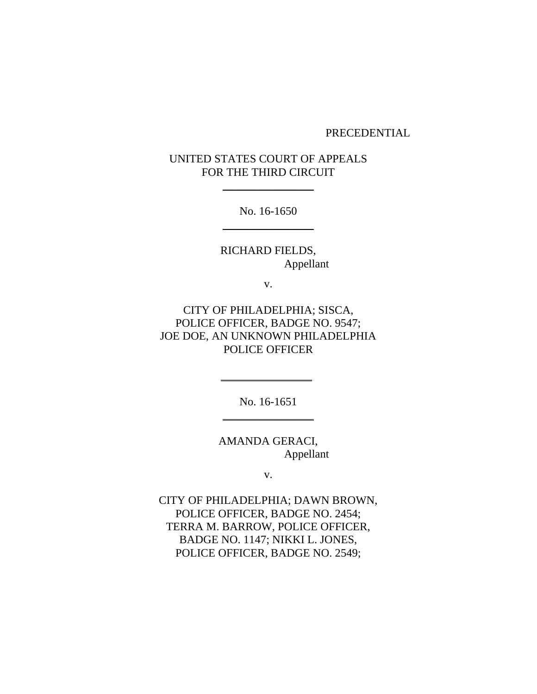### PRECEDENTIAL

# UNITED STATES COURT OF APPEALS FOR THE THIRD CIRCUIT

 $\frac{1}{2}$ 

No. 16-1650  $\frac{1}{2}$ 

RICHARD FIELDS, Appellant

v.

CITY OF PHILADELPHIA; SISCA, POLICE OFFICER, BADGE NO. 9547; JOE DOE, AN UNKNOWN PHILADELPHIA POLICE OFFICER

> No. 16-1651 \_\_\_\_\_\_\_\_\_\_\_\_\_\_\_\_

\_\_\_\_\_\_\_\_\_\_\_\_\_\_\_\_

AMANDA GERACI, Appellant

v.

CITY OF PHILADELPHIA; DAWN BROWN, POLICE OFFICER, BADGE NO. 2454; TERRA M. BARROW, POLICE OFFICER, BADGE NO. 1147; NIKKI L. JONES, POLICE OFFICER, BADGE NO. 2549;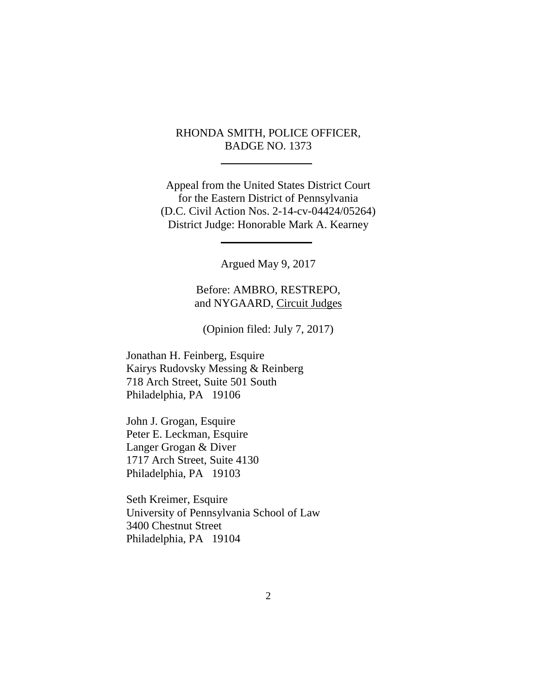# RHONDA SMITH, POLICE OFFICER, BADGE NO. 1373

\_\_\_\_\_\_\_\_\_\_\_\_\_\_\_\_

Appeal from the United States District Court for the Eastern District of Pennsylvania (D.C. Civil Action Nos. 2-14-cv-04424/05264) District Judge: Honorable Mark A. Kearney

 $\frac{1}{2}$ 

Argued May 9, 2017

Before: AMBRO, RESTREPO, and NYGAARD, Circuit Judges

(Opinion filed: July 7, 2017)

Jonathan H. Feinberg, Esquire Kairys Rudovsky Messing & Reinberg 718 Arch Street, Suite 501 South Philadelphia, PA 19106

John J. Grogan, Esquire Peter E. Leckman, Esquire Langer Grogan & Diver 1717 Arch Street, Suite 4130 Philadelphia, PA 19103

Seth Kreimer, Esquire University of Pennsylvania School of Law 3400 Chestnut Street Philadelphia, PA 19104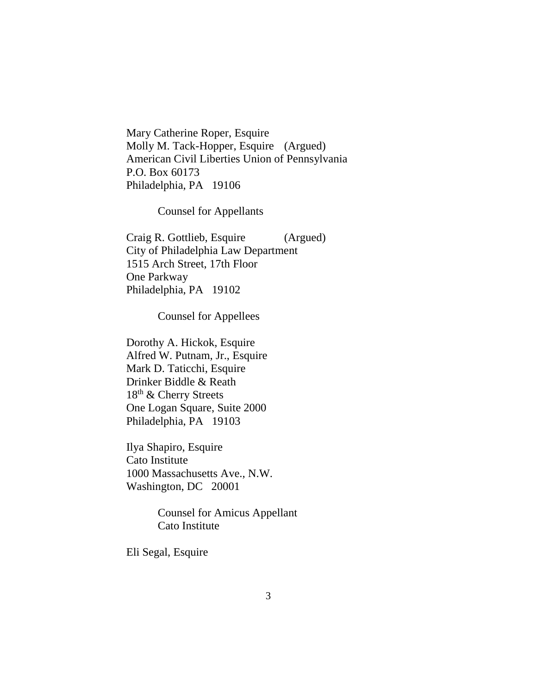Mary Catherine Roper, Esquire Molly M. Tack-Hopper, Esquire (Argued) American Civil Liberties Union of Pennsylvania P.O. Box 60173 Philadelphia, PA 19106

Counsel for Appellants

Craig R. Gottlieb, Esquire (Argued) City of Philadelphia Law Department 1515 Arch Street, 17th Floor One Parkway Philadelphia, PA 19102

Counsel for Appellees

Dorothy A. Hickok, Esquire Alfred W. Putnam, Jr., Esquire Mark D. Taticchi, Esquire Drinker Biddle & Reath 18th & Cherry Streets One Logan Square, Suite 2000 Philadelphia, PA 19103

Ilya Shapiro, Esquire Cato Institute 1000 Massachusetts Ave., N.W. Washington, DC 20001

> Counsel for Amicus Appellant Cato Institute

Eli Segal, Esquire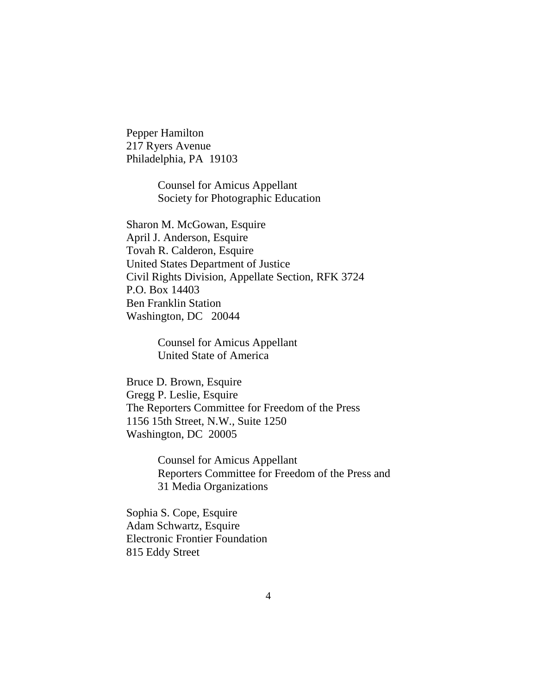Pepper Hamilton 217 Ryers Avenue Philadelphia, PA 19103

> Counsel for Amicus Appellant Society for Photographic Education

Sharon M. McGowan, Esquire April J. Anderson, Esquire Tovah R. Calderon, Esquire United States Department of Justice Civil Rights Division, Appellate Section, RFK 3724 P.O. Box 14403 Ben Franklin Station Washington, DC 20044

> Counsel for Amicus Appellant United State of America

Bruce D. Brown, Esquire Gregg P. Leslie, Esquire The Reporters Committee for Freedom of the Press 1156 15th Street, N.W., Suite 1250 Washington, DC 20005

> Counsel for Amicus Appellant Reporters Committee for Freedom of the Press and 31 Media Organizations

Sophia S. Cope, Esquire Adam Schwartz, Esquire Electronic Frontier Foundation 815 Eddy Street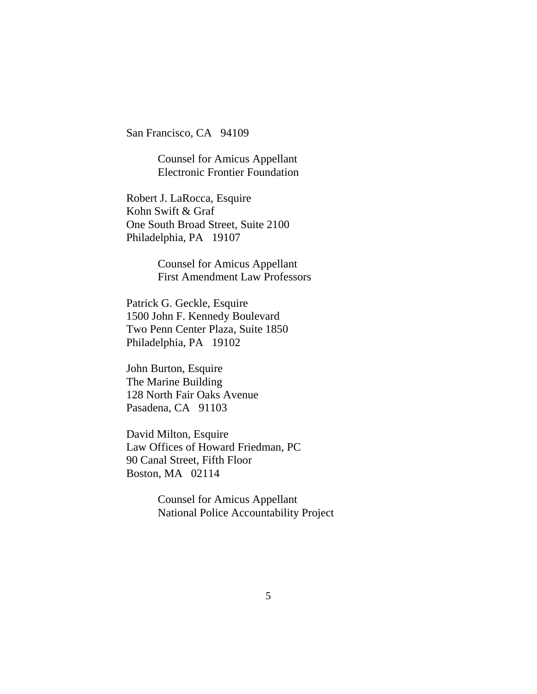San Francisco, CA 94109

Counsel for Amicus Appellant Electronic Frontier Foundation

Robert J. LaRocca, Esquire Kohn Swift & Graf One South Broad Street, Suite 2100 Philadelphia, PA 19107

> Counsel for Amicus Appellant First Amendment Law Professors

Patrick G. Geckle, Esquire 1500 John F. Kennedy Boulevard Two Penn Center Plaza, Suite 1850 Philadelphia, PA 19102

John Burton, Esquire The Marine Building 128 North Fair Oaks Avenue Pasadena, CA 91103

David Milton, Esquire Law Offices of Howard Friedman, PC 90 Canal Street, Fifth Floor Boston, MA 02114

> Counsel for Amicus Appellant National Police Accountability Project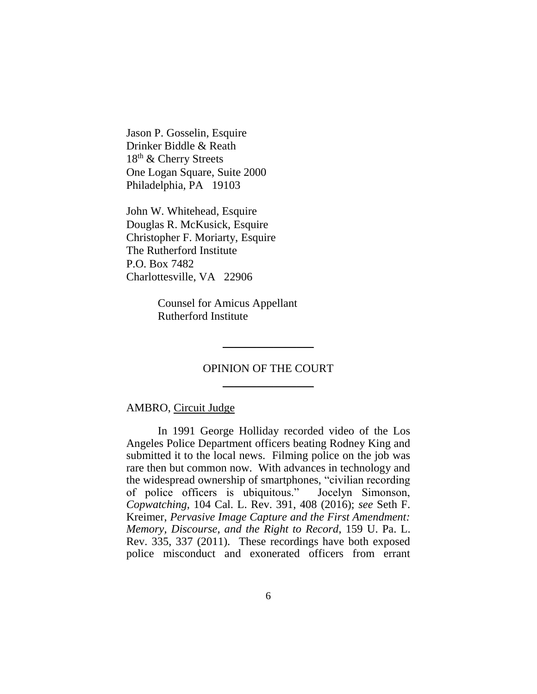Jason P. Gosselin, Esquire Drinker Biddle & Reath 18th & Cherry Streets One Logan Square, Suite 2000 Philadelphia, PA 19103

John W. Whitehead, Esquire Douglas R. McKusick, Esquire Christopher F. Moriarty, Esquire The Rutherford Institute P.O. Box 7482 Charlottesville, VA 22906

> Counsel for Amicus Appellant Rutherford Institute

# OPINION OF THE COURT \_\_\_\_\_\_\_\_\_\_\_\_\_\_\_\_

\_\_\_\_\_\_\_\_\_\_\_\_\_\_\_\_

### AMBRO, Circuit Judge

In 1991 George Holliday recorded video of the Los Angeles Police Department officers beating Rodney King and submitted it to the local news. Filming police on the job was rare then but common now. With advances in technology and the widespread ownership of smartphones, "civilian recording of police officers is ubiquitous." Jocelyn Simonson, *Copwatching*, 104 Cal. L. Rev. 391, 408 (2016); *see* Seth F. Kreimer, *Pervasive Image Capture and the First Amendment: Memory, Discourse, and the Right to Record*, 159 U. Pa. L. Rev. 335, 337 (2011). These recordings have both exposed police misconduct and exonerated officers from errant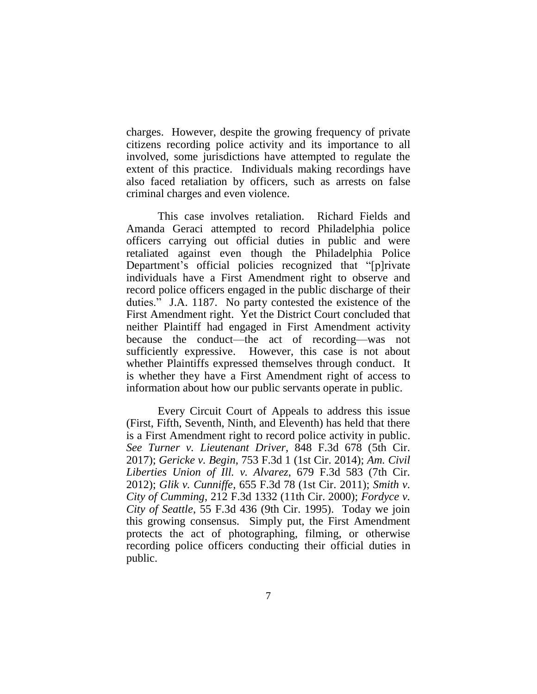charges. However, despite the growing frequency of private citizens recording police activity and its importance to all involved, some jurisdictions have attempted to regulate the extent of this practice. Individuals making recordings have also faced retaliation by officers, such as arrests on false criminal charges and even violence.

This case involves retaliation. Richard Fields and Amanda Geraci attempted to record Philadelphia police officers carrying out official duties in public and were retaliated against even though the Philadelphia Police Department's official policies recognized that "[p]rivate individuals have a First Amendment right to observe and record police officers engaged in the public discharge of their duties." J.A. 1187. No party contested the existence of the First Amendment right. Yet the District Court concluded that neither Plaintiff had engaged in First Amendment activity because the conduct—the act of recording—was not sufficiently expressive. However, this case is not about whether Plaintiffs expressed themselves through conduct. It is whether they have a First Amendment right of access to information about how our public servants operate in public.

Every Circuit Court of Appeals to address this issue (First, Fifth, Seventh, Ninth, and Eleventh) has held that there is a First Amendment right to record police activity in public. *See Turner v. Lieutenant Driver*, 848 F.3d 678 (5th Cir. 2017); *Gericke v. Begin*, 753 F.3d 1 (1st Cir. 2014); *Am. Civil Liberties Union of Ill. v. Alvarez*, 679 F.3d 583 (7th Cir. 2012); *Glik v. Cunniffe,* 655 F.3d 78 (1st Cir. 2011); *Smith v. City of Cumming*, 212 F.3d 1332 (11th Cir. 2000); *Fordyce v. City of Seattle*, 55 F.3d 436 (9th Cir. 1995). Today we join this growing consensus. Simply put, the First Amendment protects the act of photographing, filming, or otherwise recording police officers conducting their official duties in public.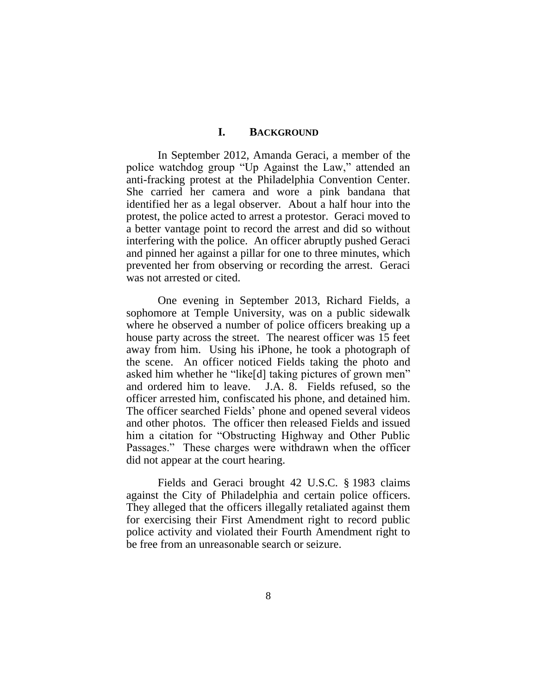## **I. BACKGROUND**

In September 2012, Amanda Geraci, a member of the police watchdog group "Up Against the Law," attended an anti-fracking protest at the Philadelphia Convention Center. She carried her camera and wore a pink bandana that identified her as a legal observer. About a half hour into the protest, the police acted to arrest a protestor. Geraci moved to a better vantage point to record the arrest and did so without interfering with the police. An officer abruptly pushed Geraci and pinned her against a pillar for one to three minutes, which prevented her from observing or recording the arrest. Geraci was not arrested or cited.

One evening in September 2013, Richard Fields, a sophomore at Temple University, was on a public sidewalk where he observed a number of police officers breaking up a house party across the street. The nearest officer was 15 feet away from him. Using his iPhone, he took a photograph of the scene. An officer noticed Fields taking the photo and asked him whether he "like[d] taking pictures of grown men" and ordered him to leave. J.A. 8. Fields refused, so the officer arrested him, confiscated his phone, and detained him. The officer searched Fields' phone and opened several videos and other photos. The officer then released Fields and issued him a citation for "Obstructing Highway and Other Public Passages." These charges were withdrawn when the officer did not appear at the court hearing.

Fields and Geraci brought 42 U.S.C. § 1983 claims against the City of Philadelphia and certain police officers. They alleged that the officers illegally retaliated against them for exercising their First Amendment right to record public police activity and violated their Fourth Amendment right to be free from an unreasonable search or seizure.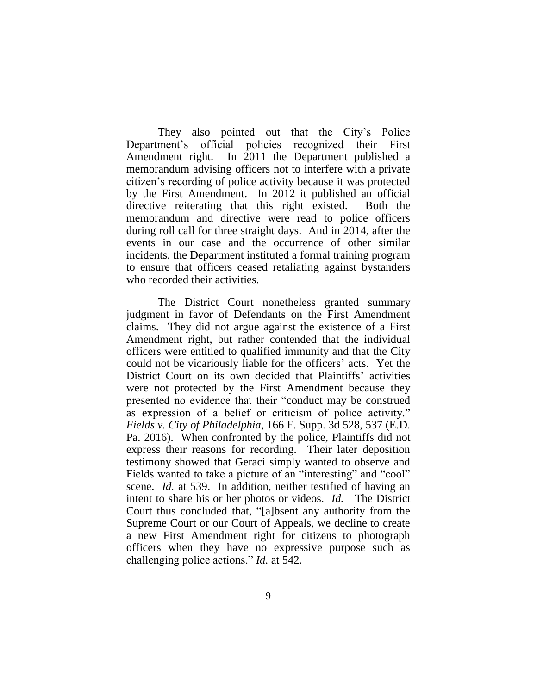They also pointed out that the City's Police Department's official policies recognized their First Amendment right. In 2011 the Department published a memorandum advising officers not to interfere with a private citizen's recording of police activity because it was protected by the First Amendment. In 2012 it published an official directive reiterating that this right existed. Both the memorandum and directive were read to police officers during roll call for three straight days. And in 2014, after the events in our case and the occurrence of other similar incidents, the Department instituted a formal training program to ensure that officers ceased retaliating against bystanders who recorded their activities.

The District Court nonetheless granted summary judgment in favor of Defendants on the First Amendment claims. They did not argue against the existence of a First Amendment right, but rather contended that the individual officers were entitled to qualified immunity and that the City could not be vicariously liable for the officers' acts. Yet the District Court on its own decided that Plaintiffs' activities were not protected by the First Amendment because they presented no evidence that their "conduct may be construed as expression of a belief or criticism of police activity." *Fields v. City of Philadelphia*, 166 F. Supp. 3d 528, 537 (E.D. Pa. 2016). When confronted by the police, Plaintiffs did not express their reasons for recording. Their later deposition testimony showed that Geraci simply wanted to observe and Fields wanted to take a picture of an "interesting" and "cool" scene. *Id.* at 539. In addition, neither testified of having an intent to share his or her photos or videos. *Id.* The District Court thus concluded that, "[a]bsent any authority from the Supreme Court or our Court of Appeals, we decline to create a new First Amendment right for citizens to photograph officers when they have no expressive purpose such as challenging police actions." *Id.* at 542.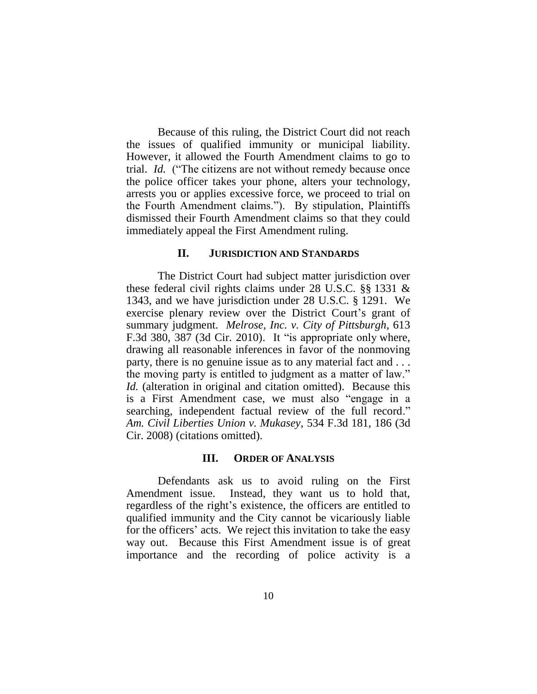Because of this ruling, the District Court did not reach the issues of qualified immunity or municipal liability. However, it allowed the Fourth Amendment claims to go to trial. *Id.* ("The citizens are not without remedy because once the police officer takes your phone, alters your technology, arrests you or applies excessive force, we proceed to trial on the Fourth Amendment claims."). By stipulation, Plaintiffs dismissed their Fourth Amendment claims so that they could immediately appeal the First Amendment ruling.

#### **II. JURISDICTION AND STANDARDS**

The District Court had subject matter jurisdiction over these federal civil rights claims under 28 U.S.C. §§ 1331 & 1343, and we have jurisdiction under 28 U.S.C. § 1291. We exercise plenary review over the District Court's grant of summary judgment. *Melrose, Inc. v. City of Pittsburgh*, 613 F.3d 380, 387 (3d Cir. 2010). It "is appropriate only where, drawing all reasonable inferences in favor of the nonmoving party, there is no genuine issue as to any material fact and . . . the moving party is entitled to judgment as a matter of law." *Id.* (alteration in original and citation omitted). Because this is a First Amendment case, we must also "engage in a searching, independent factual review of the full record." *Am. Civil Liberties Union v. Mukasey*, 534 F.3d 181, 186 (3d Cir. 2008) (citations omitted).

## **III. ORDER OF ANALYSIS**

Defendants ask us to avoid ruling on the First Amendment issue. Instead, they want us to hold that, regardless of the right's existence, the officers are entitled to qualified immunity and the City cannot be vicariously liable for the officers' acts. We reject this invitation to take the easy way out. Because this First Amendment issue is of great importance and the recording of police activity is a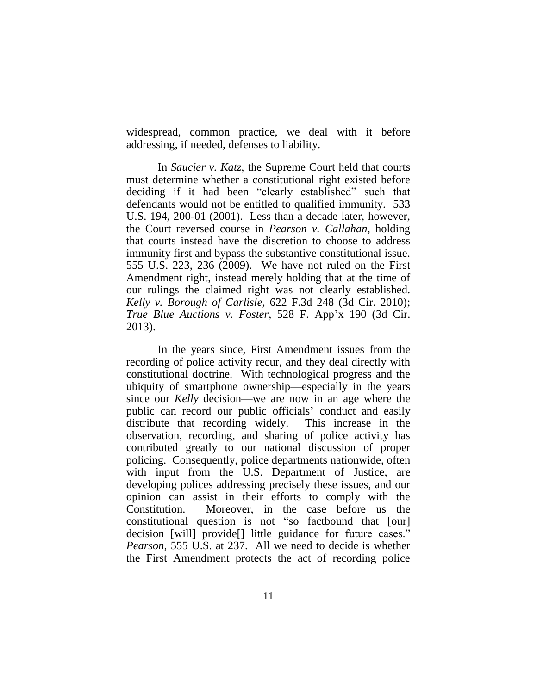widespread, common practice, we deal with it before addressing, if needed, defenses to liability.

In *Saucier v. Katz*, the Supreme Court held that courts must determine whether a constitutional right existed before deciding if it had been "clearly established" such that defendants would not be entitled to qualified immunity. 533 U.S. 194, 200-01 (2001). Less than a decade later, however, the Court reversed course in *Pearson v. Callahan*, holding that courts instead have the discretion to choose to address immunity first and bypass the substantive constitutional issue. 555 U.S. 223, 236 (2009). We have not ruled on the First Amendment right, instead merely holding that at the time of our rulings the claimed right was not clearly established. *Kelly v. Borough of Carlisle*, 622 F.3d 248 (3d Cir. 2010); *True Blue Auctions v. Foster*, 528 F. App'x 190 (3d Cir. 2013).

In the years since, First Amendment issues from the recording of police activity recur, and they deal directly with constitutional doctrine. With technological progress and the ubiquity of smartphone ownership—especially in the years since our *Kelly* decision—we are now in an age where the public can record our public officials' conduct and easily distribute that recording widely. This increase in the observation, recording, and sharing of police activity has contributed greatly to our national discussion of proper policing. Consequently, police departments nationwide, often with input from the U.S. Department of Justice, are developing polices addressing precisely these issues, and our opinion can assist in their efforts to comply with the Constitution. Moreover, in the case before us the constitutional question is not "so factbound that [our] decision [will] provide[] little guidance for future cases." *Pearson*, 555 U.S. at 237. All we need to decide is whether the First Amendment protects the act of recording police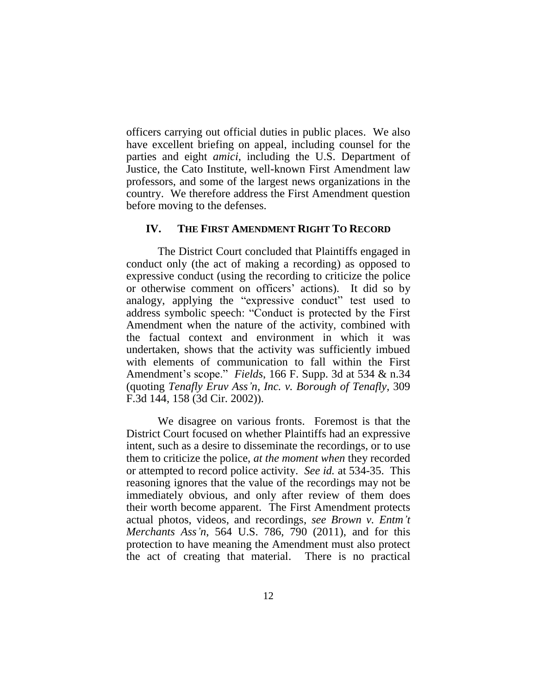officers carrying out official duties in public places. We also have excellent briefing on appeal, including counsel for the parties and eight *amici*, including the U.S. Department of Justice, the Cato Institute, well-known First Amendment law professors, and some of the largest news organizations in the country. We therefore address the First Amendment question before moving to the defenses.

## **IV. THE FIRST AMENDMENT RIGHT TO RECORD**

The District Court concluded that Plaintiffs engaged in conduct only (the act of making a recording) as opposed to expressive conduct (using the recording to criticize the police or otherwise comment on officers' actions). It did so by analogy, applying the "expressive conduct" test used to address symbolic speech: "Conduct is protected by the First Amendment when the nature of the activity, combined with the factual context and environment in which it was undertaken, shows that the activity was sufficiently imbued with elements of communication to fall within the First Amendment's scope." *Fields*, 166 F. Supp. 3d at 534 & n.34 (quoting *Tenafly Eruv Ass'n, Inc. v. Borough of Tenafly*, 309 F.3d 144, 158 (3d Cir. 2002)).

We disagree on various fronts. Foremost is that the District Court focused on whether Plaintiffs had an expressive intent, such as a desire to disseminate the recordings, or to use them to criticize the police, *at the moment when* they recorded or attempted to record police activity. *See id.* at 534-35. This reasoning ignores that the value of the recordings may not be immediately obvious, and only after review of them does their worth become apparent. The First Amendment protects actual photos, videos, and recordings, *see Brown v. Entm't Merchants Ass'n*, 564 U.S. 786, 790 (2011), and for this protection to have meaning the Amendment must also protect the act of creating that material. There is no practical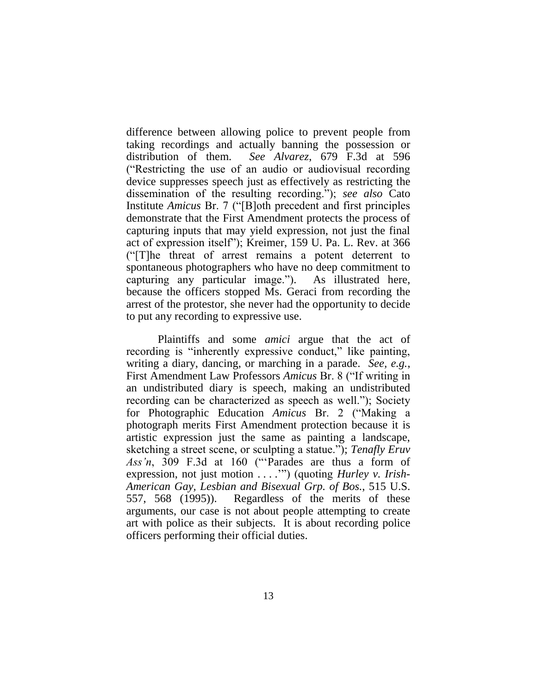difference between allowing police to prevent people from taking recordings and actually banning the possession or distribution of them. *See Alvarez*, 679 F.3d at 596 ("Restricting the use of an audio or audiovisual recording device suppresses speech just as effectively as restricting the dissemination of the resulting recording."); *see also* Cato Institute *Amicus* Br. 7 ("[B]oth precedent and first principles demonstrate that the First Amendment protects the process of capturing inputs that may yield expression, not just the final act of expression itself"); Kreimer, 159 U. Pa. L. Rev. at 366 ("[T]he threat of arrest remains a potent deterrent to spontaneous photographers who have no deep commitment to capturing any particular image."). As illustrated here, because the officers stopped Ms. Geraci from recording the arrest of the protestor, she never had the opportunity to decide to put any recording to expressive use.

Plaintiffs and some *amici* argue that the act of recording is "inherently expressive conduct," like painting, writing a diary, dancing, or marching in a parade. *See, e.g.*, First Amendment Law Professors *Amicus* Br. 8 ("If writing in an undistributed diary is speech, making an undistributed recording can be characterized as speech as well."); Society for Photographic Education *Amicus* Br. 2 ("Making a photograph merits First Amendment protection because it is artistic expression just the same as painting a landscape, sketching a street scene, or sculpting a statue."); *Tenafly Eruv Ass'n*, 309 F.3d at 160 ("'Parades are thus a form of expression, not just motion . . . .'") (quoting *Hurley v. Irish-American Gay, Lesbian and Bisexual Grp. of Bos.*, 515 U.S. 557, 568 (1995)). Regardless of the merits of these arguments, our case is not about people attempting to create art with police as their subjects. It is about recording police officers performing their official duties.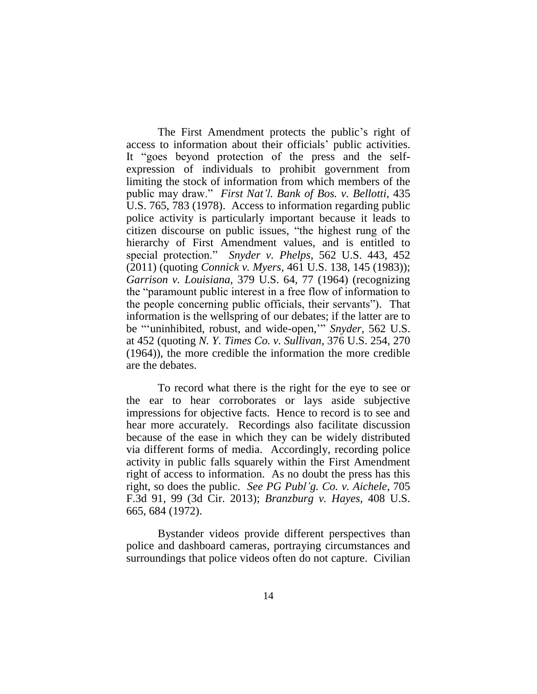The First Amendment protects the public's right of access to information about their officials' public activities. It "goes beyond protection of the press and the selfexpression of individuals to prohibit government from limiting the stock of information from which members of the public may draw." *First Nat'l. Bank of Bos. v. Bellotti*, 435 U.S. 765, 783 (1978). Access to information regarding public police activity is particularly important because it leads to citizen discourse on public issues, "the highest rung of the hierarchy of First Amendment values, and is entitled to special protection." *Snyder v. Phelps*, 562 U.S. 443, 452 (2011) (quoting *Connick v. Myers,* 461 U.S. 138, 145 (1983)); *Garrison v. Louisiana*, 379 U.S. 64, 77 (1964) (recognizing the "paramount public interest in a free flow of information to the people concerning public officials, their servants"). That information is the wellspring of our debates; if the latter are to be "'uninhibited, robust, and wide-open,'" *Snyder*, 562 U.S. at 452 (quoting *N. Y. Times Co. v. Sullivan,* 376 U.S. 254, 270 (1964)), the more credible the information the more credible are the debates.

To record what there is the right for the eye to see or the ear to hear corroborates or lays aside subjective impressions for objective facts. Hence to record is to see and hear more accurately. Recordings also facilitate discussion because of the ease in which they can be widely distributed via different forms of media. Accordingly, recording police activity in public falls squarely within the First Amendment right of access to information. As no doubt the press has this right, so does the public. *See PG Publ'g. Co. v. Aichele*, 705 F.3d 91, 99 (3d Cir. 2013); *Branzburg v. Hayes*, 408 U.S. 665, 684 (1972).

Bystander videos provide different perspectives than police and dashboard cameras, portraying circumstances and surroundings that police videos often do not capture. Civilian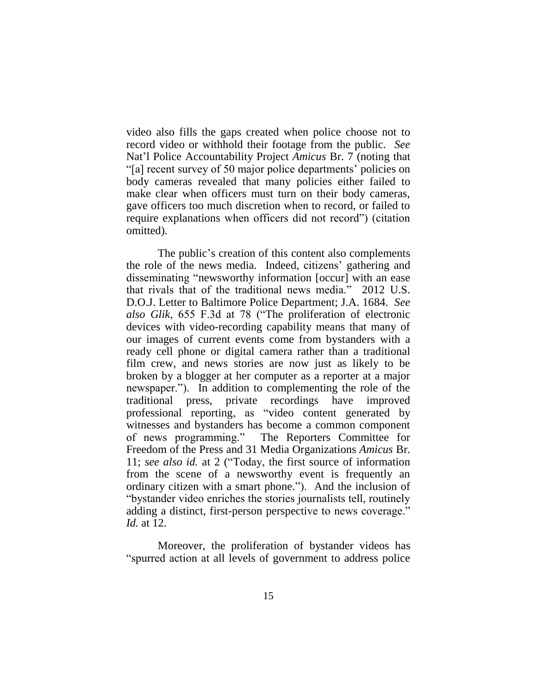video also fills the gaps created when police choose not to record video or withhold their footage from the public. *See* Nat'l Police Accountability Project *Amicus* Br. 7 (noting that "[a] recent survey of 50 major police departments' policies on body cameras revealed that many policies either failed to make clear when officers must turn on their body cameras, gave officers too much discretion when to record, or failed to require explanations when officers did not record") (citation omitted).

The public's creation of this content also complements the role of the news media. Indeed, citizens' gathering and disseminating "newsworthy information [occur] with an ease that rivals that of the traditional news media." 2012 U.S. D.O.J. Letter to Baltimore Police Department; J.A. 1684. *See also Glik*, 655 F.3d at 78 ("The proliferation of electronic devices with video-recording capability means that many of our images of current events come from bystanders with a ready cell phone or digital camera rather than a traditional film crew, and news stories are now just as likely to be broken by a blogger at her computer as a reporter at a major newspaper."). In addition to complementing the role of the traditional press, private recordings have improved professional reporting, as "video content generated by witnesses and bystanders has become a common component of news programming." The Reporters Committee for Freedom of the Press and 31 Media Organizations *Amicus* Br. 11; *see also id.* at 2 ("Today, the first source of information from the scene of a newsworthy event is frequently an ordinary citizen with a smart phone."). And the inclusion of "bystander video enriches the stories journalists tell, routinely adding a distinct, first-person perspective to news coverage." *Id.* at 12.

Moreover, the proliferation of bystander videos has "spurred action at all levels of government to address police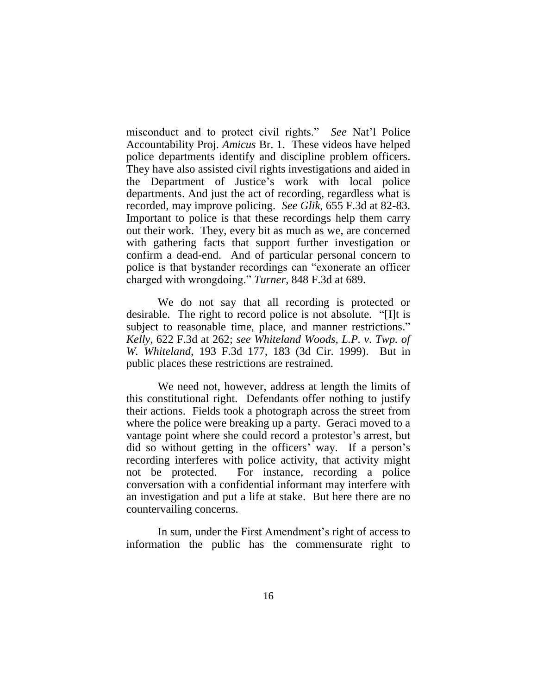misconduct and to protect civil rights." *See* Nat'l Police Accountability Proj. *Amicus* Br. 1. These videos have helped police departments identify and discipline problem officers. They have also assisted civil rights investigations and aided in the Department of Justice's work with local police departments. And just the act of recording, regardless what is recorded, may improve policing. *See Glik*, 655 F.3d at 82-83. Important to police is that these recordings help them carry out their work. They, every bit as much as we, are concerned with gathering facts that support further investigation or confirm a dead-end. And of particular personal concern to police is that bystander recordings can "exonerate an officer charged with wrongdoing." *Turner*, 848 F.3d at 689.

We do not say that all recording is protected or desirable. The right to record police is not absolute. "[I]t is subject to reasonable time, place, and manner restrictions." *Kelly*, 622 F.3d at 262; *see Whiteland Woods, L.P. v. Twp. of W. Whiteland*, 193 F.3d 177, 183 (3d Cir. 1999). But in public places these restrictions are restrained.

We need not, however, address at length the limits of this constitutional right. Defendants offer nothing to justify their actions. Fields took a photograph across the street from where the police were breaking up a party. Geraci moved to a vantage point where she could record a protestor's arrest, but did so without getting in the officers' way. If a person's recording interferes with police activity, that activity might not be protected. For instance, recording a police conversation with a confidential informant may interfere with an investigation and put a life at stake. But here there are no countervailing concerns.

In sum, under the First Amendment's right of access to information the public has the commensurate right to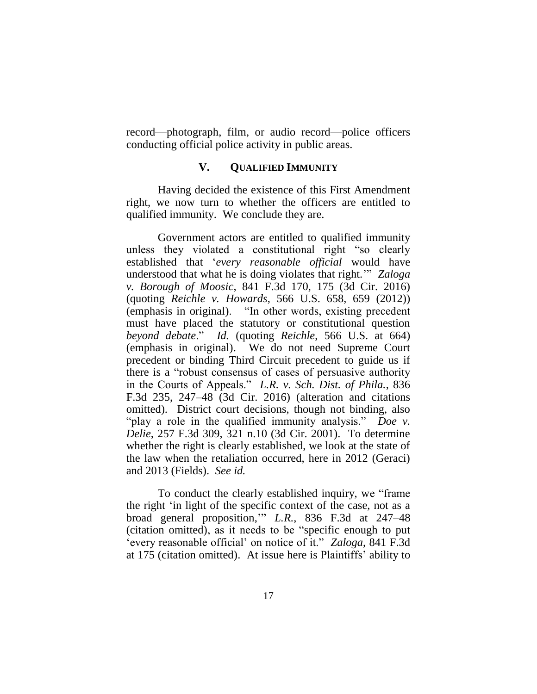record—photograph, film, or audio record—police officers conducting official police activity in public areas.

## **V. QUALIFIED IMMUNITY**

Having decided the existence of this First Amendment right, we now turn to whether the officers are entitled to qualified immunity. We conclude they are.

Government actors are entitled to qualified immunity unless they violated a constitutional right "so clearly established that '*every reasonable official* would have understood that what he is doing violates that right.'" *Zaloga v. Borough of Moosic*, 841 F.3d 170, 175 (3d Cir. 2016) (quoting *Reichle v. Howards*, 566 U.S. 658, 659 (2012)) (emphasis in original). "In other words, existing precedent must have placed the statutory or constitutional question *beyond debate*." *Id.* (quoting *Reichle*, 566 U.S. at 664) (emphasis in original). We do not need Supreme Court precedent or binding Third Circuit precedent to guide us if there is a "robust consensus of cases of persuasive authority in the Courts of Appeals." *L.R. v. Sch. Dist. of Phila.*, 836 F.3d 235, 247–48 (3d Cir. 2016) (alteration and citations omitted). District court decisions, though not binding, also "play a role in the qualified immunity analysis." *Doe v. Delie*, 257 F.3d 309, 321 n.10 (3d Cir. 2001). To determine whether the right is clearly established, we look at the state of the law when the retaliation occurred, here in 2012 (Geraci) and 2013 (Fields). *See id.*

To conduct the clearly established inquiry, we "frame the right 'in light of the specific context of the case, not as a broad general proposition,'" *L.R.*, 836 F.3d at 247–48 (citation omitted), as it needs to be "specific enough to put 'every reasonable official' on notice of it." *Zaloga*, 841 F.3d at 175 (citation omitted). At issue here is Plaintiffs' ability to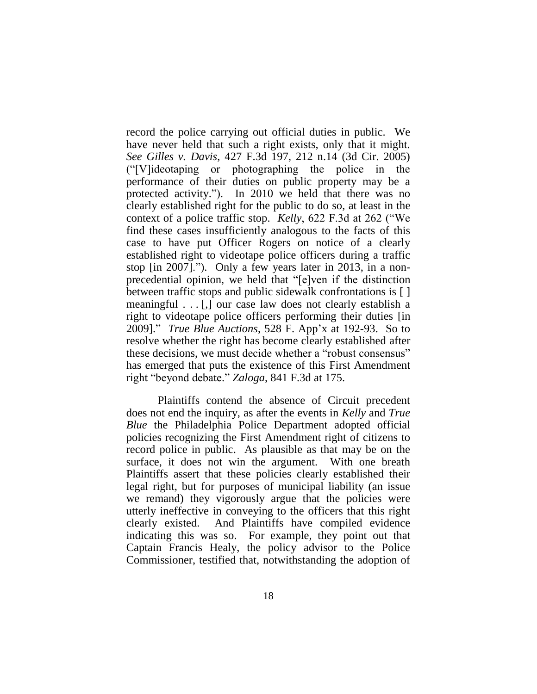record the police carrying out official duties in public. We have never held that such a right exists, only that it might. *See Gilles v. Davis*, 427 F.3d 197, 212 n.14 (3d Cir. 2005) ("[V]ideotaping or photographing the police in the performance of their duties on public property may be a protected activity."). In 2010 we held that there was no clearly established right for the public to do so, at least in the context of a police traffic stop. *Kelly*, 622 F.3d at 262 ("We find these cases insufficiently analogous to the facts of this case to have put Officer Rogers on notice of a clearly established right to videotape police officers during a traffic stop [in 2007]."). Only a few years later in 2013, in a nonprecedential opinion, we held that "[e]ven if the distinction between traffic stops and public sidewalk confrontations is [ ] meaningful . . . [,] our case law does not clearly establish a right to videotape police officers performing their duties [in 2009]." *True Blue Auctions*, 528 F. App'x at 192-93. So to resolve whether the right has become clearly established after these decisions, we must decide whether a "robust consensus" has emerged that puts the existence of this First Amendment right "beyond debate." *Zaloga*, 841 F.3d at 175.

Plaintiffs contend the absence of Circuit precedent does not end the inquiry, as after the events in *Kelly* and *True Blue* the Philadelphia Police Department adopted official policies recognizing the First Amendment right of citizens to record police in public. As plausible as that may be on the surface, it does not win the argument. With one breath Plaintiffs assert that these policies clearly established their legal right, but for purposes of municipal liability (an issue we remand) they vigorously argue that the policies were utterly ineffective in conveying to the officers that this right clearly existed. And Plaintiffs have compiled evidence indicating this was so. For example, they point out that Captain Francis Healy, the policy advisor to the Police Commissioner, testified that, notwithstanding the adoption of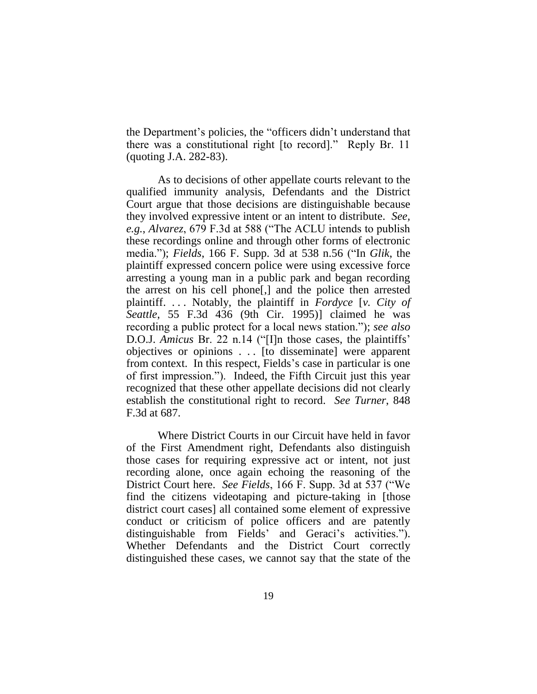the Department's policies, the "officers didn't understand that there was a constitutional right [to record]." Reply Br. 11 (quoting J.A. 282-83).

As to decisions of other appellate courts relevant to the qualified immunity analysis, Defendants and the District Court argue that those decisions are distinguishable because they involved expressive intent or an intent to distribute. *See, e.g.*, *Alvarez*, 679 F.3d at 588 ("The ACLU intends to publish these recordings online and through other forms of electronic media."); *Fields*, 166 F. Supp. 3d at 538 n.56 ("In *Glik*, the plaintiff expressed concern police were using excessive force arresting a young man in a public park and began recording the arrest on his cell phone[,] and the police then arrested plaintiff. . . . Notably, the plaintiff in *Fordyce* [*v. City of Seattle*, 55 F.3d 436 (9th Cir. 1995)] claimed he was recording a public protect for a local news station."); *see also*  D.O.J. *Amicus* Br. 22 n.14 ("[I]n those cases, the plaintiffs' objectives or opinions . . . [to disseminate] were apparent from context. In this respect, Fields's case in particular is one of first impression."). Indeed, the Fifth Circuit just this year recognized that these other appellate decisions did not clearly establish the constitutional right to record. *See Turner*, 848 F.3d at 687.

Where District Courts in our Circuit have held in favor of the First Amendment right, Defendants also distinguish those cases for requiring expressive act or intent, not just recording alone, once again echoing the reasoning of the District Court here. *See Fields*, 166 F. Supp. 3d at 537 ("We find the citizens videotaping and picture-taking in [those district court cases] all contained some element of expressive conduct or criticism of police officers and are patently distinguishable from Fields' and Geraci's activities."). Whether Defendants and the District Court correctly distinguished these cases, we cannot say that the state of the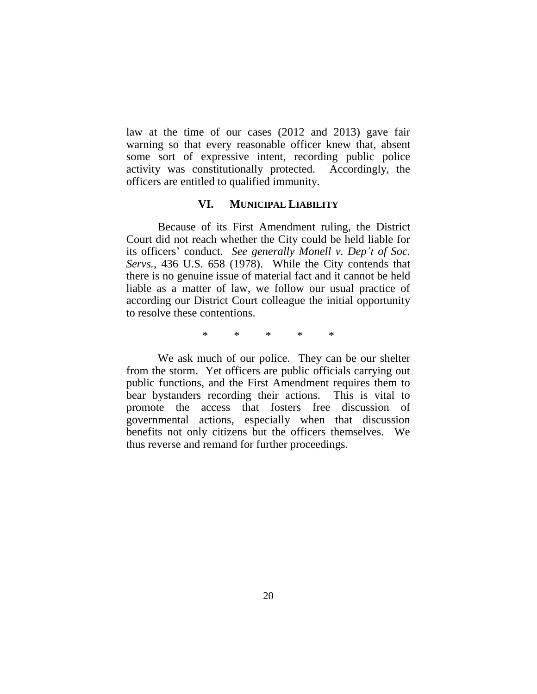law at the time of our cases (2012 and 2013) gave fair warning so that every reasonable officer knew that, absent some sort of expressive intent, recording public police activity was constitutionally protected. Accordingly, the officers are entitled to qualified immunity.

## **VI. MUNICIPAL LIABILITY**

Because of its First Amendment ruling, the District Court did not reach whether the City could be held liable for its officers' conduct. *See generally Monell v. Dep't of Soc. Servs.*, 436 U.S. 658 (1978). While the City contends that there is no genuine issue of material fact and it cannot be held liable as a matter of law, we follow our usual practice of according our District Court colleague the initial opportunity to resolve these contentions.

\* \* \* \* \*

We ask much of our police. They can be our shelter from the storm. Yet officers are public officials carrying out public functions, and the First Amendment requires them to bear bystanders recording their actions. This is vital to promote the access that fosters free discussion of governmental actions, especially when that discussion benefits not only citizens but the officers themselves. We thus reverse and remand for further proceedings.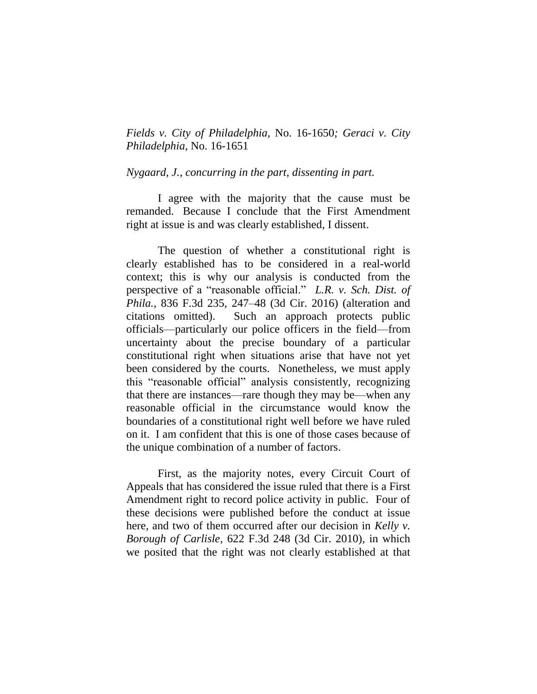*Fields v. City of Philadelphia,* No. 16-1650*; Geraci v. City Philadelphia,* No. 16-1651

*Nygaard, J., concurring in the part, dissenting in part.* 

I agree with the majority that the cause must be remanded. Because I conclude that the First Amendment right at issue is and was clearly established, I dissent.

The question of whether a constitutional right is clearly established has to be considered in a real-world context; this is why our analysis is conducted from the perspective of a "reasonable official." *L.R. v. Sch. Dist. of Phila.*, 836 F.3d 235, 247–48 (3d Cir. 2016) (alteration and citations omitted). Such an approach protects public officials—particularly our police officers in the field—from uncertainty about the precise boundary of a particular constitutional right when situations arise that have not yet been considered by the courts. Nonetheless, we must apply this "reasonable official" analysis consistently, recognizing that there are instances—rare though they may be—when any reasonable official in the circumstance would know the boundaries of a constitutional right well before we have ruled on it. I am confident that this is one of those cases because of the unique combination of a number of factors.

First, as the majority notes, every Circuit Court of Appeals that has considered the issue ruled that there is a First Amendment right to record police activity in public. Four of these decisions were published before the conduct at issue here, and two of them occurred after our decision in *Kelly v. Borough of Carlisle,* 622 F.3d 248 (3d Cir. 2010), in which we posited that the right was not clearly established at that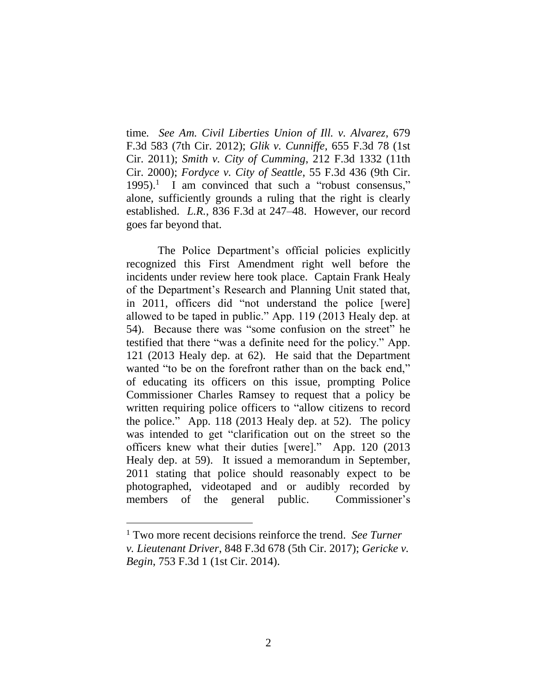time*. See Am. Civil Liberties Union of Ill. v. Alvarez*, 679 F.3d 583 (7th Cir. 2012); *Glik v. Cunniffe,* 655 F.3d 78 (1st Cir. 2011); *Smith v. City of Cumming*, 212 F.3d 1332 (11th Cir. 2000); *Fordyce v. City of Seattle*, 55 F.3d 436 (9th Cir.  $1995$ .<sup>1</sup> I am convinced that such a "robust consensus," alone, sufficiently grounds a ruling that the right is clearly established. *L.R.*, 836 F.3d at 247–48. However, our record goes far beyond that.

The Police Department's official policies explicitly recognized this First Amendment right well before the incidents under review here took place. Captain Frank Healy of the Department's Research and Planning Unit stated that, in 2011, officers did "not understand the police [were] allowed to be taped in public." App. 119 (2013 Healy dep. at 54). Because there was "some confusion on the street" he testified that there "was a definite need for the policy." App. 121 (2013 Healy dep. at 62). He said that the Department wanted "to be on the forefront rather than on the back end," of educating its officers on this issue, prompting Police Commissioner Charles Ramsey to request that a policy be written requiring police officers to "allow citizens to record the police." App. 118 (2013 Healy dep. at 52). The policy was intended to get "clarification out on the street so the officers knew what their duties [were]." App. 120 (2013 Healy dep. at 59). It issued a memorandum in September, 2011 stating that police should reasonably expect to be photographed, videotaped and or audibly recorded by members of the general public. Commissioner's

 $\overline{a}$ 

<sup>1</sup> Two more recent decisions reinforce the trend. *See Turner v. Lieutenant Driver*, 848 F.3d 678 (5th Cir. 2017); *Gericke v. Begin*, 753 F.3d 1 (1st Cir. 2014).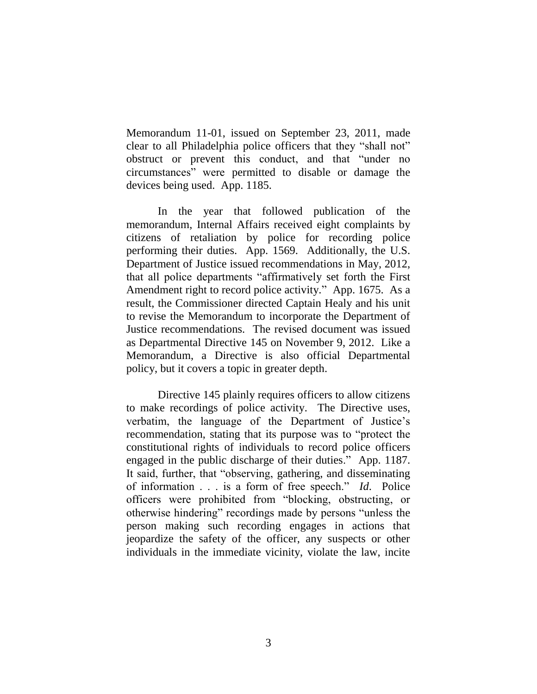Memorandum 11-01, issued on September 23, 2011, made clear to all Philadelphia police officers that they "shall not" obstruct or prevent this conduct, and that "under no circumstances" were permitted to disable or damage the devices being used. App. 1185.

In the year that followed publication of the memorandum, Internal Affairs received eight complaints by citizens of retaliation by police for recording police performing their duties. App. 1569. Additionally, the U.S. Department of Justice issued recommendations in May, 2012, that all police departments "affirmatively set forth the First Amendment right to record police activity." App. 1675. As a result, the Commissioner directed Captain Healy and his unit to revise the Memorandum to incorporate the Department of Justice recommendations. The revised document was issued as Departmental Directive 145 on November 9, 2012. Like a Memorandum, a Directive is also official Departmental policy, but it covers a topic in greater depth.

Directive 145 plainly requires officers to allow citizens to make recordings of police activity. The Directive uses, verbatim, the language of the Department of Justice's recommendation, stating that its purpose was to "protect the constitutional rights of individuals to record police officers engaged in the public discharge of their duties." App. 1187. It said, further, that "observing, gathering, and disseminating of information . . . is a form of free speech." *Id*. Police officers were prohibited from "blocking, obstructing, or otherwise hindering" recordings made by persons "unless the person making such recording engages in actions that jeopardize the safety of the officer, any suspects or other individuals in the immediate vicinity, violate the law, incite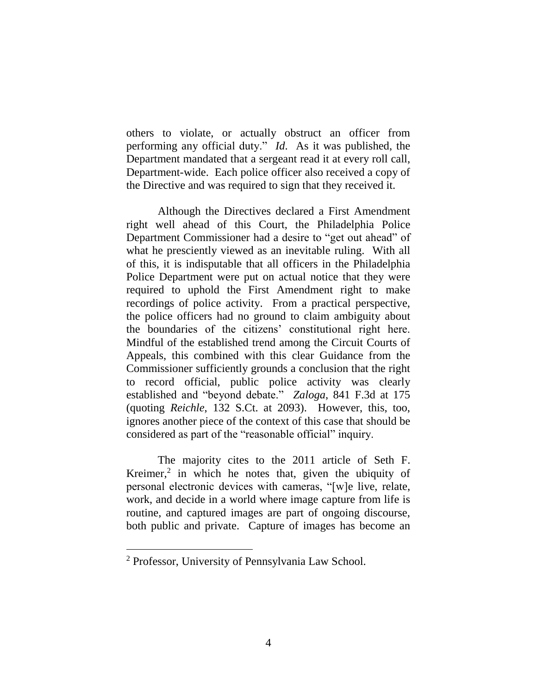others to violate, or actually obstruct an officer from performing any official duty." *Id*. As it was published, the Department mandated that a sergeant read it at every roll call, Department-wide. Each police officer also received a copy of the Directive and was required to sign that they received it.

Although the Directives declared a First Amendment right well ahead of this Court, the Philadelphia Police Department Commissioner had a desire to "get out ahead" of what he presciently viewed as an inevitable ruling. With all of this, it is indisputable that all officers in the Philadelphia Police Department were put on actual notice that they were required to uphold the First Amendment right to make recordings of police activity. From a practical perspective, the police officers had no ground to claim ambiguity about the boundaries of the citizens' constitutional right here. Mindful of the established trend among the Circuit Courts of Appeals, this combined with this clear Guidance from the Commissioner sufficiently grounds a conclusion that the right to record official, public police activity was clearly established and "beyond debate." *Zaloga*, 841 F.3d at 175 (quoting *Reichle*, 132 S.Ct. at 2093). However, this, too, ignores another piece of the context of this case that should be considered as part of the "reasonable official" inquiry.

The majority cites to the 2011 article of Seth F. Kreimer, $2$  in which he notes that, given the ubiquity of personal electronic devices with cameras, "[w]e live, relate, work, and decide in a world where image capture from life is routine, and captured images are part of ongoing discourse, both public and private. Capture of images has become an

 $\overline{a}$ 

<sup>2</sup> Professor, University of Pennsylvania Law School.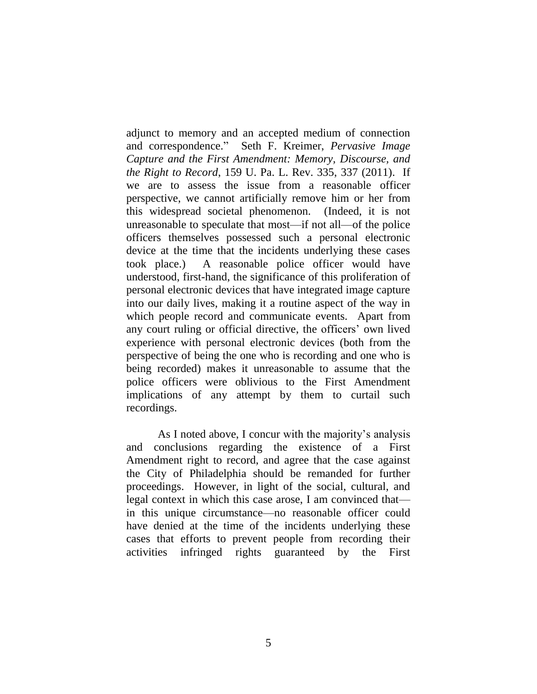adjunct to memory and an accepted medium of connection and correspondence." Seth F. Kreimer, *Pervasive Image Capture and the First Amendment: Memory, Discourse, and the Right to Record*, 159 U. Pa. L. Rev. 335, 337 (2011). If we are to assess the issue from a reasonable officer perspective, we cannot artificially remove him or her from this widespread societal phenomenon. (Indeed, it is not unreasonable to speculate that most—if not all—of the police officers themselves possessed such a personal electronic device at the time that the incidents underlying these cases took place.) A reasonable police officer would have understood, first-hand, the significance of this proliferation of personal electronic devices that have integrated image capture into our daily lives, making it a routine aspect of the way in which people record and communicate events. Apart from any court ruling or official directive, the officers' own lived experience with personal electronic devices (both from the perspective of being the one who is recording and one who is being recorded) makes it unreasonable to assume that the police officers were oblivious to the First Amendment implications of any attempt by them to curtail such recordings.

As I noted above, I concur with the majority's analysis and conclusions regarding the existence of a First Amendment right to record, and agree that the case against the City of Philadelphia should be remanded for further proceedings. However, in light of the social, cultural, and legal context in which this case arose, I am convinced that in this unique circumstance—no reasonable officer could have denied at the time of the incidents underlying these cases that efforts to prevent people from recording their activities infringed rights guaranteed by the First